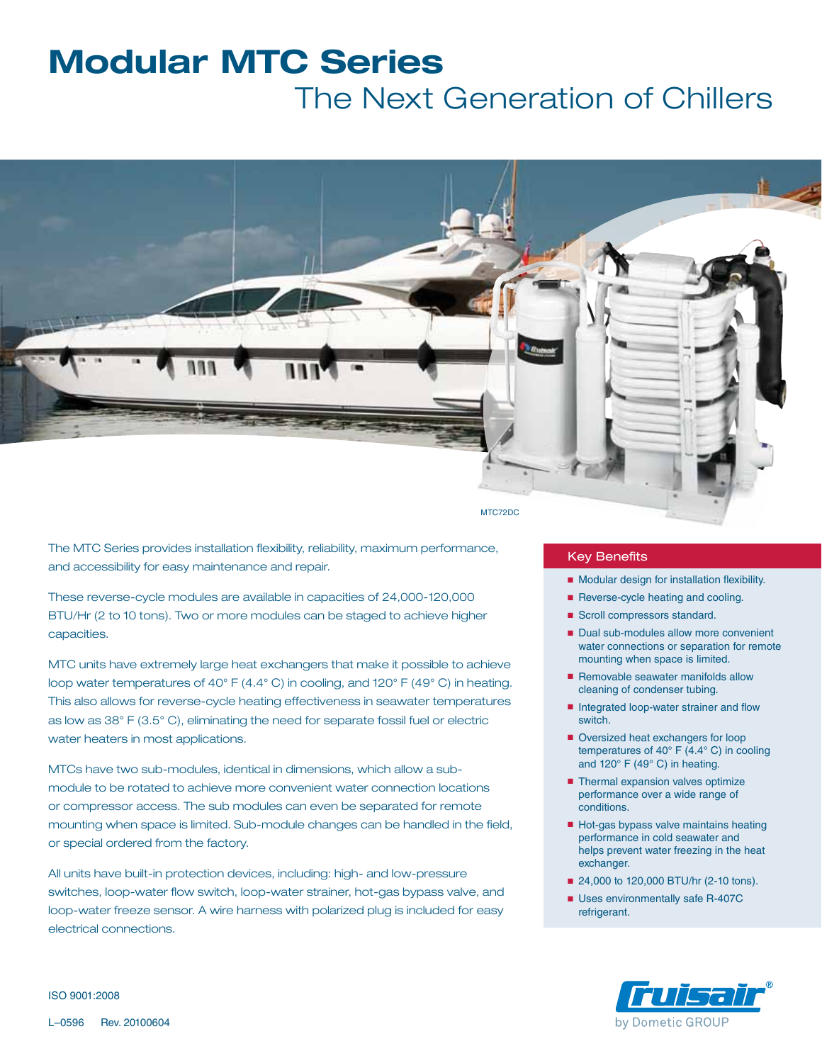# **Modular MTC Series**

The Next Generation of Chillers



The MTC Series provides installation flexibility, reliability, maximum performance, and accessibility for easy maintenance and repair.

These reverse-cycle modules are available in capacities of 24,000-120,000 BTU/Hr (2 to 10 tons). Two or more modules can be staged to achieve higher capacities.

MTC units have extremely large heat exchangers that make it possible to achieve loop water temperatures of 40° F (4.4° C) in cooling, and 120° F (49° C) in heating. This also allows for reverse-cycle heating effectiveness in seawater temperatures as low as 38° F (3.5° C), eliminating the need for separate fossil fuel or electric water heaters in most applications.

MTCs have two sub-modules, identical in dimensions, which allow a submodule to be rotated to achieve more convenient water connection locations or compressor access. The sub modules can even be separated for remote mounting when space is limited. Sub-module changes can be handled in the field, or special ordered from the factory.

All units have built-in protection devices, including: high- and low-pressure switches, loop-water flow switch, loop-water strainer, hot-gas bypass valve, and loop-water freeze sensor. A wire harness with polarized plug is included for easy electrical connections.

### Key Benefits

- Modular design for installation flexibility.
- Reverse-cycle heating and cooling.
- Scroll compressors standard.
- Dual sub-modules allow more convenient water connections or separation for remote mounting when space is limited.
- Removable seawater manifolds allow cleaning of condenser tubing.
- Integrated loop-water strainer and flow switch.
- Oversized heat exchangers for loop temperatures of 40 $\degree$  F (4.4 $\degree$  C) in cooling and 120° F (49° C) in heating.
- Thermal expansion valves optimize performance over a wide range of conditions.
- Hot-gas bypass valve maintains heating performance in cold seawater and helps prevent water freezing in the heat exchanger.
- 24,000 to 120,000 BTU/hr (2-10 tons).
- Uses environmentally safe R-407C refrigerant.



ISO 9001:2008